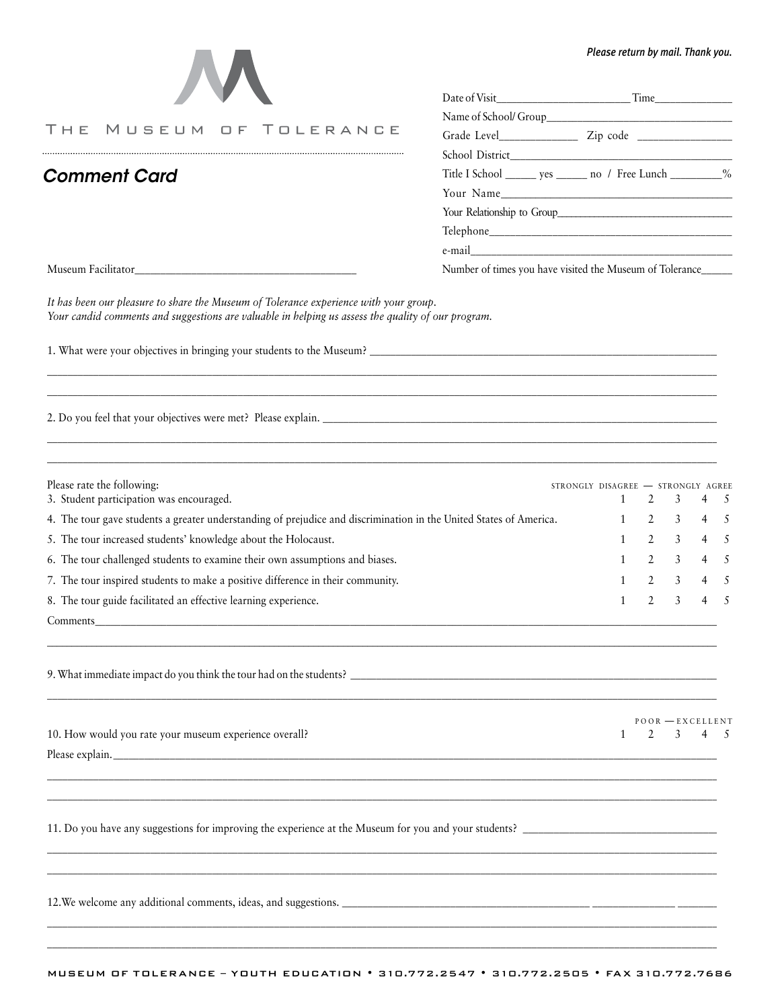| $\boldsymbol{\mathcal{M}}$ |
|----------------------------|
|----------------------------|

THE MUSEUM OF TOLERANCE 

## *Please return by mail. Thank you.*

 $POOR$  — EXCELLENT

| Title I School ________ yes ________ no / Free Lunch __________% |  |
|------------------------------------------------------------------|--|
| Your Name                                                        |  |
| Your Relationship to Group                                       |  |
|                                                                  |  |
|                                                                  |  |
|                                                                  |  |

Museum Facilitator **Museum Facilitator** and the Museum of Tolerance of times you have visited the Museum of Tolerance

*Comment Card*

*It has been our pleasure to share the Museum of Tolerance experience with your group. Your candid comments and suggestions are valuable in helping us assess the quality of our program.* 

1. What were your objectives in bringing your students to the Museum? \_\_\_\_\_\_\_\_\_\_\_\_\_\_\_\_\_\_\_\_\_\_\_\_\_\_\_\_\_\_\_\_\_\_\_\_\_\_\_\_\_\_\_\_\_\_\_\_\_\_\_\_\_\_\_\_\_\_\_\_\_\_\_\_\_\_\_\_\_\_

2. Do you feel that your objectives were met? Please explain. *\_\_\_\_\_\_\_\_\_\_\_\_\_\_\_\_\_\_\_\_\_\_\_\_\_\_\_\_\_\_\_\_\_\_\_\_\_\_\_\_\_\_\_\_\_\_\_\_\_\_\_\_\_\_\_\_\_\_\_\_\_\_\_\_\_\_\_\_\_\_\_\_\_\_\_\_\_\_\_*

| Please rate the following:<br>3. Student participation was encouraged.                                             | STRONGLY DISAGREE - STRONGLY AGREE | $1 \t2 \t3 \t4 \t5$ |  |
|--------------------------------------------------------------------------------------------------------------------|------------------------------------|---------------------|--|
| 4. The tour gave students a greater understanding of prejudice and discrimination in the United States of America. |                                    | $1 \t2 \t3 \t4 \t5$ |  |
| 5. The tour increased students' knowledge about the Holocaust.                                                     |                                    | $1 \t2 \t3 \t4 \t5$ |  |
| 6. The tour challenged students to examine their own assumptions and biases.                                       |                                    | $1 \t2 \t3 \t4 \t5$ |  |
| 7. The tour inspired students to make a positive difference in their community.                                    |                                    | $1 \t2 \t3 \t4 \t5$ |  |
| 8. The tour guide facilitated an effective learning experience.                                                    |                                    | $1 \t2 \t3 \t4 \t5$ |  |

 $\_$  , and the set of the set of the set of the set of the set of the set of the set of the set of the set of the set of the set of the set of the set of the set of the set of the set of the set of the set of the set of th

\_\_\_\_\_\_\_\_\_\_\_\_\_\_\_\_\_\_\_\_\_\_\_\_\_\_\_\_\_\_\_\_\_\_\_\_\_\_\_\_\_\_\_\_\_\_\_\_\_\_\_\_\_\_\_\_\_\_\_\_\_\_\_\_\_\_\_\_\_\_\_\_\_\_\_\_\_\_\_\_\_\_\_\_\_\_\_\_\_\_\_\_\_\_\_\_\_\_\_\_\_\_\_\_\_\_\_\_\_\_\_\_\_\_\_\_\_\_\_\_\_\_\_\_\_\_\_\_\_\_\_\_

*\_\_\_\_\_\_\_\_\_\_\_\_\_\_\_\_\_\_\_\_\_\_\_\_\_\_\_\_\_\_\_\_\_\_\_\_\_\_\_\_\_\_\_\_\_\_\_\_\_\_\_\_\_\_\_\_\_\_\_\_\_\_\_\_\_\_\_\_\_\_\_\_\_\_\_\_\_\_\_\_\_\_\_\_\_\_\_\_\_\_\_\_\_\_\_\_\_\_\_\_\_\_\_\_\_\_\_\_\_\_\_\_\_\_\_\_\_\_\_\_\_\_\_\_\_\_\_\_\_\_\_\_ \_\_\_\_\_\_\_\_\_\_\_\_\_\_\_\_\_\_\_\_\_\_\_\_\_\_\_\_\_\_\_\_\_\_\_\_\_\_\_\_\_\_\_\_\_\_\_\_\_\_\_\_\_\_\_\_\_\_\_\_\_\_\_\_\_\_\_\_\_\_\_\_\_\_\_\_\_\_\_\_\_\_\_\_\_\_\_\_\_\_\_\_\_\_\_\_\_\_\_\_\_\_\_\_\_\_\_\_\_\_\_\_\_\_\_\_\_\_\_\_\_\_\_\_\_\_\_\_\_\_\_\_*

*\_\_\_\_\_\_\_\_\_\_\_\_\_\_\_\_\_\_\_\_\_\_\_\_\_\_\_\_\_\_\_\_\_\_\_\_\_\_\_\_\_\_\_\_\_\_\_\_\_\_\_\_\_\_\_\_\_\_\_\_\_\_\_\_\_\_\_\_\_\_\_\_\_\_\_\_\_\_\_\_\_\_\_\_\_\_\_\_\_\_\_\_\_\_\_\_\_\_\_\_\_\_\_\_\_\_\_\_\_\_\_\_\_\_\_\_\_\_\_\_\_\_\_\_\_\_\_\_\_\_\_\_ \_\_\_\_\_\_\_\_\_\_\_\_\_\_\_\_\_\_\_\_\_\_\_\_\_\_\_\_\_\_\_\_\_\_\_\_\_\_\_\_\_\_\_\_\_\_\_\_\_\_\_\_\_\_\_\_\_\_\_\_\_\_\_\_\_\_\_\_\_\_\_\_\_\_\_\_\_\_\_\_\_\_\_\_\_\_\_\_\_\_\_\_\_\_\_\_\_\_\_\_\_\_\_\_\_\_\_\_\_\_\_\_\_\_\_\_\_\_\_\_\_\_\_\_\_\_\_\_\_\_\_\_*

\_\_\_\_\_\_\_\_\_\_\_\_\_\_\_\_\_\_\_\_\_\_\_\_\_\_\_\_\_\_\_\_\_\_\_\_\_\_\_\_\_\_\_\_\_\_\_\_\_\_\_\_\_\_\_\_\_\_\_\_\_\_\_\_\_\_\_\_\_\_\_\_\_\_\_\_\_\_\_\_\_\_\_\_\_\_\_\_\_\_\_\_\_\_\_\_\_\_\_\_\_\_\_\_\_\_\_\_\_\_\_\_\_\_\_\_\_\_\_\_\_\_\_\_\_\_\_\_\_\_\_\_ \_\_\_\_\_\_\_\_\_\_\_\_\_\_\_\_\_\_\_\_\_\_\_\_\_\_\_\_\_\_\_\_\_\_\_\_\_\_\_\_\_\_\_\_\_\_\_\_\_\_\_\_\_\_\_\_\_\_\_\_\_\_\_\_\_\_\_\_\_\_\_\_\_\_\_\_\_\_\_\_\_\_\_\_\_\_\_\_\_\_\_\_\_\_\_\_\_\_\_\_\_\_\_\_\_\_\_\_\_\_\_\_\_\_\_\_\_\_\_\_\_\_\_\_\_\_\_\_\_\_\_\_

*\_\_\_\_\_\_\_\_\_\_\_\_\_\_\_\_\_\_\_\_\_\_\_\_\_\_\_\_\_\_\_\_\_\_\_\_\_\_\_\_\_\_\_\_\_\_\_\_\_\_\_\_\_\_\_\_\_\_\_\_\_\_\_\_\_\_\_\_\_\_\_\_\_\_\_\_\_\_\_\_\_\_\_\_\_\_\_\_\_\_\_\_\_\_\_\_\_\_\_\_\_\_\_\_\_\_\_\_\_\_\_\_\_\_\_\_\_\_\_\_\_\_\_\_\_\_\_\_\_\_\_\_ \_\_\_\_\_\_\_\_\_\_\_\_\_\_\_\_\_\_\_\_\_\_\_\_\_\_\_\_\_\_\_\_\_\_\_\_\_\_\_\_\_\_\_\_\_\_\_\_\_\_\_\_\_\_\_\_\_\_\_\_\_\_\_\_\_\_\_\_\_\_\_\_\_\_\_\_\_\_\_\_\_\_\_\_\_\_\_\_\_\_\_\_\_\_\_\_\_\_\_\_\_\_\_\_\_\_\_\_\_\_\_\_\_\_\_\_\_\_\_\_\_\_\_\_\_\_\_\_\_\_\_\_*

Comments \_\_\_\_\_\_\_\_\_\_\_\_\_\_\_\_\_\_\_\_\_\_\_\_\_\_\_\_\_\_\_\_\_\_\_\_\_\_\_\_\_\_\_\_\_\_\_\_\_\_\_\_\_\_\_\_\_\_\_\_\_\_\_\_\_\_\_\_\_\_\_\_\_\_\_\_\_\_\_\_\_\_\_\_\_\_\_\_\_\_\_\_\_\_\_\_\_\_\_\_\_\_\_\_\_\_\_\_\_\_\_\_\_\_\_\_\_\_\_\_\_\_\_\_\_

9. What immediate impact do you think the tour had on the students? \_\_\_\_\_\_\_\_\_\_\_\_\_\_\_\_\_\_\_\_\_\_\_\_\_\_\_\_\_\_\_\_\_\_\_\_\_\_\_\_\_\_\_\_\_\_\_\_\_\_\_\_\_\_\_\_\_\_\_\_\_\_\_\_\_\_\_\_\_\_\_\_\_\_

10. How would you rate your museum experience overall? 1 2 3 4 5

Please explain.

11. Do you have any suggestions for improving the experience at the Museum for you and your students? \_\_\_\_\_\_\_\_\_\_\_\_\_\_\_\_\_\_\_\_\_\_\_\_\_\_\_\_\_\_\_\_\_\_\_\_\_\_\_\_

12.We welcome any additional comments, ideas, and suggestions. \_\_\_\_\_\_\_\_\_\_\_\_\_\_\_\_\_\_\_\_\_\_\_\_\_\_\_\_\_\_\_\_\_\_\_\_\_\_\_\_\_\_\_\_\_\_\_\_ \_\_\_\_\_\_\_\_\_\_\_\_\_\_\_\_ \_\_\_\_\_\_\_\_\_\_

*\_\_\_\_\_\_\_\_\_\_\_\_\_\_\_\_\_\_\_\_\_\_\_\_\_\_\_\_\_\_\_\_\_\_\_\_\_\_\_\_\_\_\_\_\_\_\_\_\_\_\_\_\_\_\_\_\_\_\_\_\_\_\_\_\_\_\_\_\_\_\_\_\_\_\_\_\_\_\_\_\_\_\_\_\_\_\_\_\_\_\_\_\_\_\_\_\_\_\_\_\_\_\_\_\_\_\_\_\_\_\_\_\_\_\_\_\_\_\_\_\_\_\_\_\_\_\_\_\_\_\_\_ \_\_\_\_\_\_\_\_\_\_\_\_\_\_\_\_\_\_\_\_\_\_\_\_\_\_\_\_\_\_\_\_\_\_\_\_\_\_\_\_\_\_\_\_\_\_\_\_\_\_\_\_\_\_\_\_\_\_\_\_\_\_\_\_\_\_\_\_\_\_\_\_\_\_\_\_\_\_\_\_\_\_\_\_\_\_\_\_\_\_\_\_\_\_\_\_\_\_\_\_\_\_\_\_\_\_\_\_\_\_\_\_\_\_\_\_\_\_\_\_\_\_\_\_\_\_\_\_\_\_\_\_*